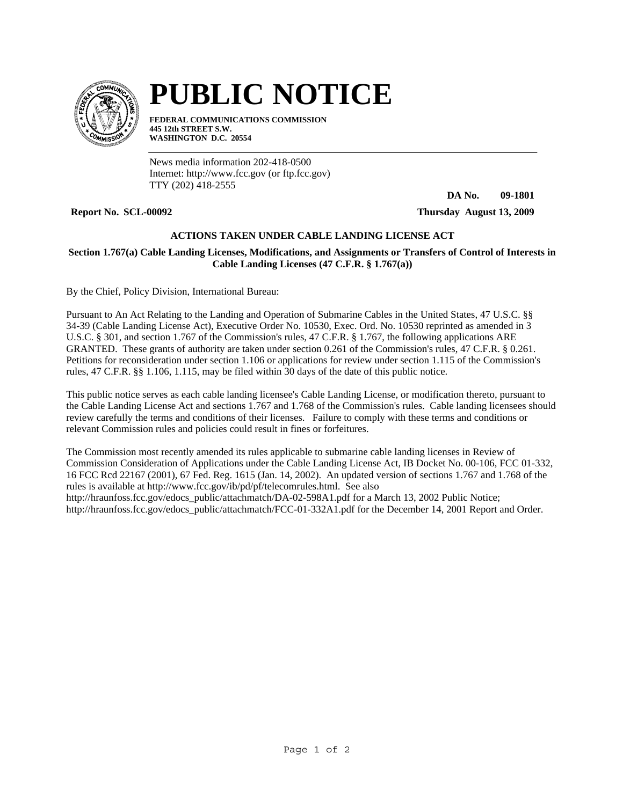

## **PUBLIC NOTICE**

**FEDERAL COMMUNICATIONS COMMISSION 445 12th STREET S.W. WASHINGTON D.C. 20554**

News media information 202-418-0500 Internet: http://www.fcc.gov (or ftp.fcc.gov) TTY (202) 418-2555

**DA No. 09-1801**

**Report No. SCL-00092 Thursday August 13, 2009**

## **ACTIONS TAKEN UNDER CABLE LANDING LICENSE ACT**

## **Section 1.767(a) Cable Landing Licenses, Modifications, and Assignments or Transfers of Control of Interests in Cable Landing Licenses (47 C.F.R. § 1.767(a))**

By the Chief, Policy Division, International Bureau:

Pursuant to An Act Relating to the Landing and Operation of Submarine Cables in the United States, 47 U.S.C. §§ 34-39 (Cable Landing License Act), Executive Order No. 10530, Exec. Ord. No. 10530 reprinted as amended in 3 U.S.C. § 301, and section 1.767 of the Commission's rules, 47 C.F.R. § 1.767, the following applications ARE GRANTED. These grants of authority are taken under section 0.261 of the Commission's rules, 47 C.F.R. § 0.261. Petitions for reconsideration under section 1.106 or applications for review under section 1.115 of the Commission's rules, 47 C.F.R. §§ 1.106, 1.115, may be filed within 30 days of the date of this public notice.

This public notice serves as each cable landing licensee's Cable Landing License, or modification thereto, pursuant to the Cable Landing License Act and sections 1.767 and 1.768 of the Commission's rules. Cable landing licensees should review carefully the terms and conditions of their licenses. Failure to comply with these terms and conditions or relevant Commission rules and policies could result in fines or forfeitures.

The Commission most recently amended its rules applicable to submarine cable landing licenses in Review of Commission Consideration of Applications under the Cable Landing License Act, IB Docket No. 00-106, FCC 01-332, 16 FCC Rcd 22167 (2001), 67 Fed. Reg. 1615 (Jan. 14, 2002). An updated version of sections 1.767 and 1.768 of the rules is available at http://www.fcc.gov/ib/pd/pf/telecomrules.html. See also http://hraunfoss.fcc.gov/edocs\_public/attachmatch/DA-02-598A1.pdf for a March 13, 2002 Public Notice; http://hraunfoss.fcc.gov/edocs\_public/attachmatch/FCC-01-332A1.pdf for the December 14, 2001 Report and Order.